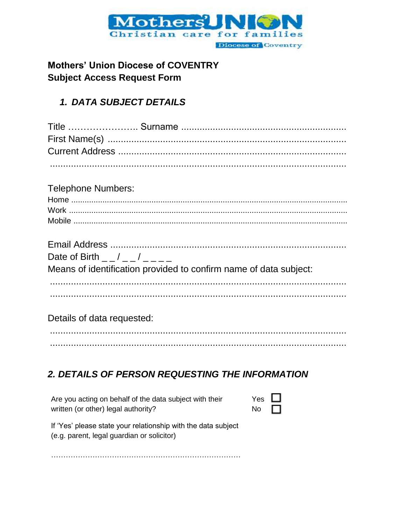

### **Mothers' Union Diocese of COVENTRY Subject Access Request Form**

## 1. DATA SUBJECT DETAILS

| <b>Telephone Numbers:</b>  |                                                                   |
|----------------------------|-------------------------------------------------------------------|
|                            |                                                                   |
|                            |                                                                   |
|                            |                                                                   |
|                            |                                                                   |
| Date of Birth / /          |                                                                   |
|                            | Means of identification provided to confirm name of data subject: |
|                            |                                                                   |
|                            |                                                                   |
| Details of data requested: |                                                                   |
|                            |                                                                   |

# 2. DETAILS OF PERSON REQUESTING THE INFORMATION

| Are you acting on behalf of the data subject with their |  |
|---------------------------------------------------------|--|
| written (or other) legal authority?                     |  |

| Yes |  |
|-----|--|
| N٥  |  |

If 'Yes' please state your relationship with the data subject (e.g. parent, legal guardian or solicitor)